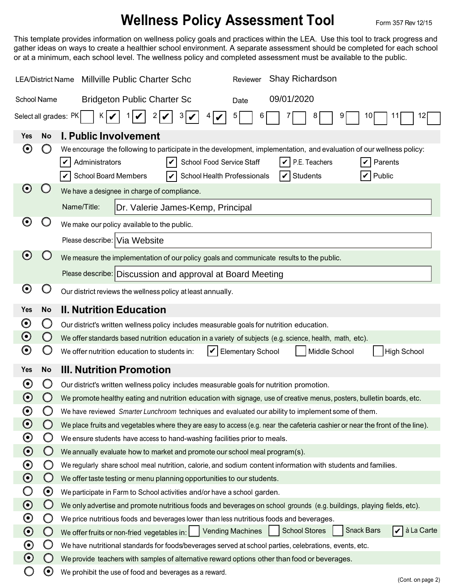## **Wellness Policy Assessment Tool** Form 357 Rev 12/15

This template provides information on wellness policy goals and practices within the LEA. Use this tool to track progress and gather ideas on ways to create a healthier school environment. A separate assessment should be completed for each school or at a minimum, each school level. The wellness policy and completed assessment must be available to the public.

| <b>LEA/District Name</b>                                                      |                       | Shay Richardson<br><b>Millville Public Charter Scho</b><br>Reviewer                                                                                                                                                                                                                                                      |  |  |  |  |
|-------------------------------------------------------------------------------|-----------------------|--------------------------------------------------------------------------------------------------------------------------------------------------------------------------------------------------------------------------------------------------------------------------------------------------------------------------|--|--|--|--|
| School Name                                                                   |                       | 09/01/2020<br><b>Bridgeton Public Charter Sc</b><br>Date                                                                                                                                                                                                                                                                 |  |  |  |  |
| Select all grades: PK<br>K.<br>2<br>3<br>9<br>12<br>10<br>$4\sigma$<br>6<br>V |                       |                                                                                                                                                                                                                                                                                                                          |  |  |  |  |
| Yes                                                                           | <b>No</b>             | <b>I. Public Involvement</b>                                                                                                                                                                                                                                                                                             |  |  |  |  |
| $\boldsymbol{\Theta}$                                                         | υ                     | We encourage the following to participate in the development, implementation, and evaluation of our wellness policy:<br>Administrators<br>School Food Service Staff<br>P.E. Teachers<br>Parents<br>V<br>V<br>$\triangleright$ School Board Members<br>School Health Professionals<br><b>Students</b><br>Public<br>V<br>V |  |  |  |  |
| $\boldsymbol{\Theta}$                                                         |                       | We have a designee in charge of compliance.                                                                                                                                                                                                                                                                              |  |  |  |  |
|                                                                               |                       | Name/Title:<br>Dr. Valerie James-Kemp, Principal                                                                                                                                                                                                                                                                         |  |  |  |  |
| $\boldsymbol{\Theta}$                                                         |                       | We make our policy available to the public.                                                                                                                                                                                                                                                                              |  |  |  |  |
|                                                                               |                       | Please describe: Via Website                                                                                                                                                                                                                                                                                             |  |  |  |  |
| $\boldsymbol{\Theta}$                                                         |                       | We measure the implementation of our policy goals and communicate results to the public.                                                                                                                                                                                                                                 |  |  |  |  |
|                                                                               |                       | Please describe: Discussion and approval at Board Meeting                                                                                                                                                                                                                                                                |  |  |  |  |
| $\boldsymbol{\Theta}$                                                         |                       | Our district reviews the wellness policy at least annually.                                                                                                                                                                                                                                                              |  |  |  |  |
| <b>Yes</b>                                                                    | <b>No</b>             | <b>II. Nutrition Education</b>                                                                                                                                                                                                                                                                                           |  |  |  |  |
| $\boldsymbol{\Theta}$                                                         | Ő                     | Our district's written wellness policy includes measurable goals for nutrition education.                                                                                                                                                                                                                                |  |  |  |  |
| $\boldsymbol{\Theta}$                                                         | $\bigcirc$            | We offer standards based nutrition education in a variety of subjects (e.g. science, health, math, etc).                                                                                                                                                                                                                 |  |  |  |  |
| $\boldsymbol{\Theta}$                                                         |                       | V<br>Middle School<br>We offer nutrition education to students in:<br><b>Elementary School</b><br><b>High School</b>                                                                                                                                                                                                     |  |  |  |  |
| <b>Yes</b>                                                                    | <b>No</b>             | <b>III. Nutrition Promotion</b>                                                                                                                                                                                                                                                                                          |  |  |  |  |
| $\boldsymbol{\Theta}$                                                         | O                     | Our district's written wellness policy includes measurable goals for nutrition promotion.                                                                                                                                                                                                                                |  |  |  |  |
| $\boldsymbol{\Theta}$                                                         |                       | We promote healthy eating and nutrition education with signage, use of creative menus, posters, bulletin boards, etc.                                                                                                                                                                                                    |  |  |  |  |
| $\boldsymbol{\odot}$                                                          |                       | We have reviewed Smarter Lunchroom techniques and evaluated our ability to implement some of them.                                                                                                                                                                                                                       |  |  |  |  |
| $\boldsymbol{\odot}$                                                          | $\bigcirc$            | We place fruits and vegetables where they are easy to access (e.g. near the cafeteria cashier or near the front of the line).                                                                                                                                                                                            |  |  |  |  |
| $\boldsymbol{\odot}$                                                          | Ő                     | We ensure students have access to hand-washing facilities prior to meals.                                                                                                                                                                                                                                                |  |  |  |  |
| $\boldsymbol{\odot}$                                                          | $\bigcirc$            | We annually evaluate how to market and promote our school meal program(s).                                                                                                                                                                                                                                               |  |  |  |  |
| $\boldsymbol{\odot}$                                                          | O                     | We regularly share school meal nutrition, calorie, and sodium content information with students and families.                                                                                                                                                                                                            |  |  |  |  |
| $\boldsymbol{\odot}$                                                          | $\bigcirc$            | We offer taste testing or menu planning opportunities to our students.                                                                                                                                                                                                                                                   |  |  |  |  |
|                                                                               | $\boldsymbol{\Theta}$ | We participate in Farm to School activities and/or have a school garden.                                                                                                                                                                                                                                                 |  |  |  |  |
| $\boldsymbol{\odot}$                                                          | $\bigcirc$            | We only advertise and promote nutritious foods and beverages on school grounds (e.g. buildings, playing fields, etc).                                                                                                                                                                                                    |  |  |  |  |
| $\boldsymbol{\odot}$                                                          | O                     | We price nutritious foods and beverages lower than less nutritious foods and beverages.<br><b>Snack Bars</b><br>à La Carte<br><b>School Stores</b>                                                                                                                                                                       |  |  |  |  |
| $\boldsymbol{\odot}$                                                          | $\bigcirc$            | We offer fruits or non-fried vegetables in: Vending Machines<br>V                                                                                                                                                                                                                                                        |  |  |  |  |
| $\boldsymbol{\odot}$<br>$\boldsymbol{\odot}$                                  | Ő<br>$\cup$           | We have nutritional standards for foods/beverages served at school parties, celebrations, events, etc.                                                                                                                                                                                                                   |  |  |  |  |
|                                                                               | $\boldsymbol{\Theta}$ | We provide teachers with samples of alternative reward options other than food or beverages.<br>We prohibit the use of food and beverages as a reward.                                                                                                                                                                   |  |  |  |  |
|                                                                               |                       | (Cont. on page 2)                                                                                                                                                                                                                                                                                                        |  |  |  |  |